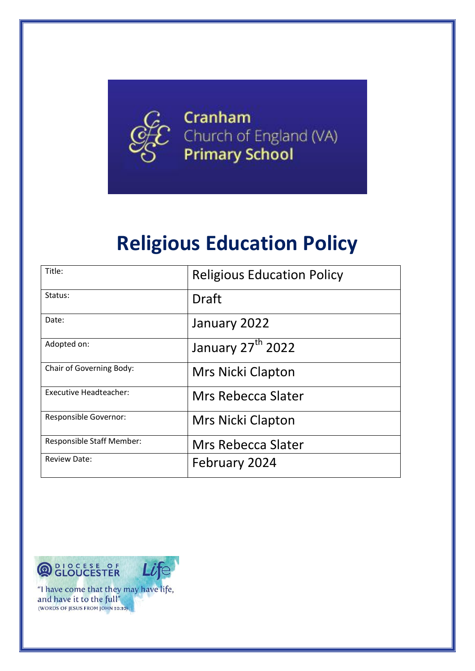

# **Religious Education Policy**

| Title:                           | <b>Religious Education Policy</b> |
|----------------------------------|-----------------------------------|
| Status:                          | <b>Draft</b>                      |
| Date:                            | January 2022                      |
| Adopted on:                      | January 27 <sup>th</sup> 2022     |
| Chair of Governing Body:         | <b>Mrs Nicki Clapton</b>          |
| Executive Headteacher:           | Mrs Rebecca Slater                |
| Responsible Governor:            | <b>Mrs Nicki Clapton</b>          |
| <b>Responsible Staff Member:</b> | Mrs Rebecca Slater                |
| <b>Review Date:</b>              | February 2024                     |

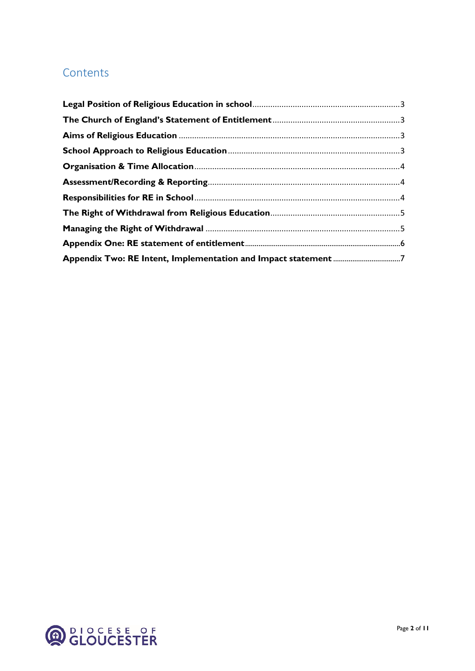# **Contents**

| Appendix Two: RE Intent, Implementation and Impact statement 7 |  |
|----------------------------------------------------------------|--|

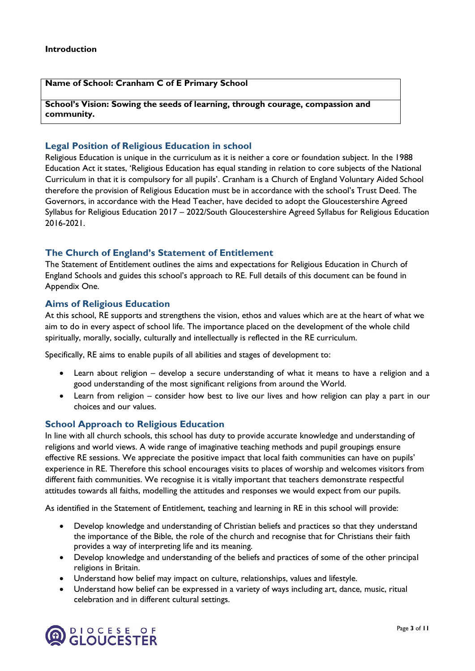### **Name of School: Cranham C of E Primary School**

**School's Vision: Sowing the seeds of learning, through courage, compassion and community.**

## <span id="page-2-0"></span>**Legal Position of Religious Education in school**

Religious Education is unique in the curriculum as it is neither a core or foundation subject. In the 1988 Education Act it states, 'Religious Education has equal standing in relation to core subjects of the National Curriculum in that it is compulsory for all pupils'. Cranham is a Church of England Voluntary Aided School therefore the provision of Religious Education must be in accordance with the school's Trust Deed. The Governors, in accordance with the Head Teacher, have decided to adopt the Gloucestershire Agreed Syllabus for Religious Education 2017 – 2022/South Gloucestershire Agreed Syllabus for Religious Education 2016-2021.

### <span id="page-2-1"></span>**The Church of England's Statement of Entitlement**

The Statement of Entitlement outlines the aims and expectations for Religious Education in Church of England Schools and guides this school's approach to RE. Full details of this document can be found in Appendix One.

### <span id="page-2-2"></span>**Aims of Religious Education**

At this school, RE supports and strengthens the vision, ethos and values which are at the heart of what we aim to do in every aspect of school life. The importance placed on the development of the whole child spiritually, morally, socially, culturally and intellectually is reflected in the RE curriculum.

Specifically, RE aims to enable pupils of all abilities and stages of development to:

- Learn about religion develop a secure understanding of what it means to have a religion and a good understanding of the most significant religions from around the World.
- Learn from religion consider how best to live our lives and how religion can play a part in our choices and our values.

### <span id="page-2-3"></span>**School Approach to Religious Education**

In line with all church schools, this school has duty to provide accurate knowledge and understanding of religions and world views. A wide range of imaginative teaching methods and pupil groupings ensure effective RE sessions. We appreciate the positive impact that local faith communities can have on pupils' experience in RE. Therefore this school encourages visits to places of worship and welcomes visitors from different faith communities. We recognise it is vitally important that teachers demonstrate respectful attitudes towards all faiths, modelling the attitudes and responses we would expect from our pupils.

As identified in the Statement of Entitlement, teaching and learning in RE in this school will provide:

- Develop knowledge and understanding of Christian beliefs and practices so that they understand the importance of the Bible, the role of the church and recognise that for Christians their faith provides a way of interpreting life and its meaning.
- Develop knowledge and understanding of the beliefs and practices of some of the other principal religions in Britain.
- Understand how belief may impact on culture, relationships, values and lifestyle.
- Understand how belief can be expressed in a variety of ways including art, dance, music, ritual celebration and in different cultural settings.

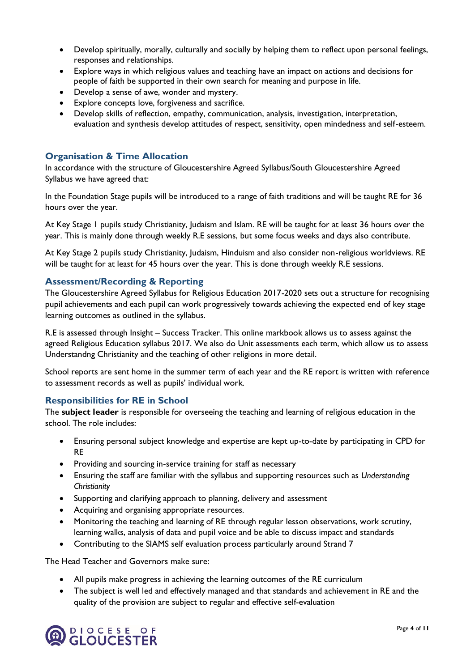- Develop spiritually, morally, culturally and socially by helping them to reflect upon personal feelings, responses and relationships.
- Explore ways in which religious values and teaching have an impact on actions and decisions for people of faith be supported in their own search for meaning and purpose in life.
- Develop a sense of awe, wonder and mystery.
- Explore concepts love, forgiveness and sacrifice.
- Develop skills of reflection, empathy, communication, analysis, investigation, interpretation, evaluation and synthesis develop attitudes of respect, sensitivity, open mindedness and self-esteem.

### <span id="page-3-0"></span>**Organisation & Time Allocation**

In accordance with the structure of Gloucestershire Agreed Syllabus/South Gloucestershire Agreed Syllabus we have agreed that:

In the Foundation Stage pupils will be introduced to a range of faith traditions and will be taught RE for 36 hours over the year.

At Key Stage 1 pupils study Christianity, Judaism and Islam. RE will be taught for at least 36 hours over the year. This is mainly done through weekly R.E sessions, but some focus weeks and days also contribute.

At Key Stage 2 pupils study Christianity, Judaism, Hinduism and also consider non-religious worldviews. RE will be taught for at least for 45 hours over the year. This is done through weekly R.E sessions.

### <span id="page-3-1"></span>**Assessment/Recording & Reporting**

The Gloucestershire Agreed Syllabus for Religious Education 2017-2020 sets out a structure for recognising pupil achievements and each pupil can work progressively towards achieving the expected end of key stage learning outcomes as outlined in the syllabus.

R.E is assessed through Insight – Success Tracker. This online markbook allows us to assess against the agreed Religious Education syllabus 2017. We also do Unit assessments each term, which allow us to assess Understandng Christianity and the teaching of other religions in more detail.

School reports are sent home in the summer term of each year and the RE report is written with reference to assessment records as well as pupils' individual work.

### <span id="page-3-2"></span>**Responsibilities for RE in School**

The **subject leader** is responsible for overseeing the teaching and learning of religious education in the school. The role includes:

- Ensuring personal subject knowledge and expertise are kept up-to-date by participating in CPD for RE
- Providing and sourcing in-service training for staff as necessary
- Ensuring the staff are familiar with the syllabus and supporting resources such as *Understanding Christianity*
- Supporting and clarifying approach to planning, delivery and assessment
- Acquiring and organising appropriate resources.
- Monitoring the teaching and learning of RE through regular lesson observations, work scrutiny, learning walks, analysis of data and pupil voice and be able to discuss impact and standards
- Contributing to the SIAMS self evaluation process particularly around Strand 7

The Head Teacher and Governors make sure:

- All pupils make progress in achieving the learning outcomes of the RE curriculum
- The subject is well led and effectively managed and that standards and achievement in RE and the quality of the provision are subject to regular and effective self-evaluation

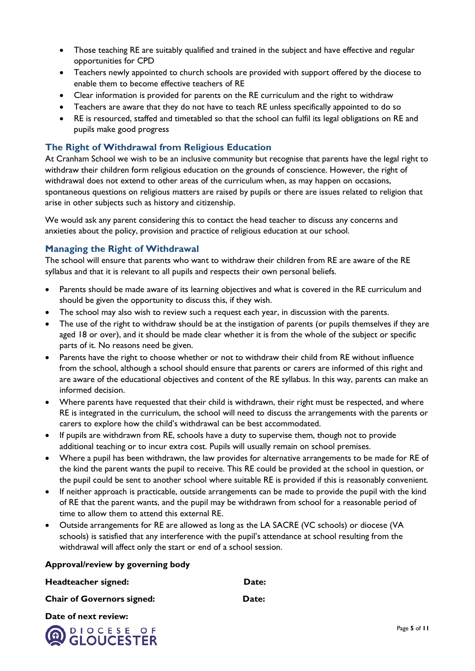- Those teaching RE are suitably qualified and trained in the subject and have effective and regular opportunities for CPD
- Teachers newly appointed to church schools are provided with support offered by the diocese to enable them to become effective teachers of RE
- Clear information is provided for parents on the RE curriculum and the right to withdraw
- Teachers are aware that they do not have to teach RE unless specifically appointed to do so
- RE is resourced, staffed and timetabled so that the school can fulfil its legal obligations on RE and pupils make good progress

# <span id="page-4-0"></span>**The Right of Withdrawal from Religious Education**

At Cranham School we wish to be an inclusive community but recognise that parents have the legal right to withdraw their children form religious education on the grounds of conscience. However, the right of withdrawal does not extend to other areas of the curriculum when, as may happen on occasions, spontaneous questions on religious matters are raised by pupils or there are issues related to religion that arise in other subjects such as history and citizenship.

We would ask any parent considering this to contact the head teacher to discuss any concerns and anxieties about the policy, provision and practice of religious education at our school.

# <span id="page-4-1"></span>**Managing the Right of Withdrawal**

The school will ensure that parents who want to withdraw their children from RE are aware of the RE syllabus and that it is relevant to all pupils and respects their own personal beliefs.

- Parents should be made aware of its learning objectives and what is covered in the RE curriculum and should be given the opportunity to discuss this, if they wish.
- The school may also wish to review such a request each year, in discussion with the parents.
- The use of the right to withdraw should be at the instigation of parents (or pupils themselves if they are aged 18 or over), and it should be made clear whether it is from the whole of the subject or specific parts of it. No reasons need be given.
- Parents have the right to choose whether or not to withdraw their child from RE without influence from the school, although a school should ensure that parents or carers are informed of this right and are aware of the educational objectives and content of the RE syllabus. In this way, parents can make an informed decision.
- Where parents have requested that their child is withdrawn, their right must be respected, and where RE is integrated in the curriculum, the school will need to discuss the arrangements with the parents or carers to explore how the child's withdrawal can be best accommodated.
- If pupils are withdrawn from RE, schools have a duty to supervise them, though not to provide additional teaching or to incur extra cost. Pupils will usually remain on school premises.
- Where a pupil has been withdrawn, the law provides for alternative arrangements to be made for RE of the kind the parent wants the pupil to receive. This RE could be provided at the school in question, or the pupil could be sent to another school where suitable RE is provided if this is reasonably convenient.
- If neither approach is practicable, outside arrangements can be made to provide the pupil with the kind of RE that the parent wants, and the pupil may be withdrawn from school for a reasonable period of time to allow them to attend this external RE.
- Outside arrangements for RE are allowed as long as the LA SACRE (VC schools) or diocese (VA schools) is satisfied that any interference with the pupil's attendance at school resulting from the withdrawal will affect only the start or end of a school session.

## **Approval/review by governing body**

| Headteacher signed:               | Date: |
|-----------------------------------|-------|
| <b>Chair of Governors signed:</b> | Date: |
| Date of next review:              |       |

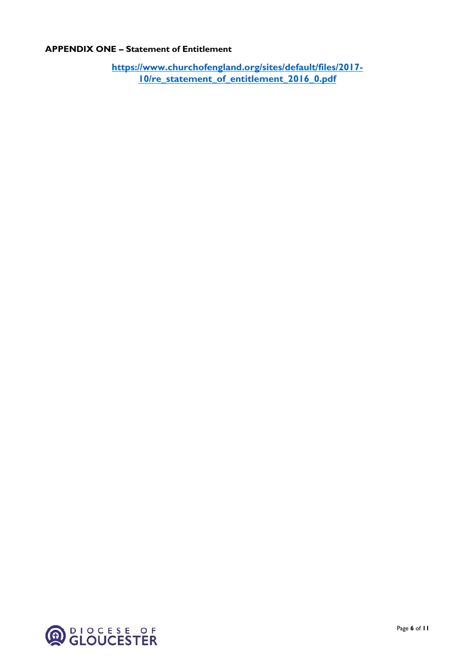# <span id="page-5-0"></span>**APPENDIX ONE – Statement of Entitlement**

**[https://www.churchofengland.org/sites/default/files/2017-](https://www.churchofengland.org/sites/default/files/2017-10/re_statement_of_entitlement_2016_0.pdf) [10/re\\_statement\\_of\\_entitlement\\_2016\\_0.pdf](https://www.churchofengland.org/sites/default/files/2017-10/re_statement_of_entitlement_2016_0.pdf)**

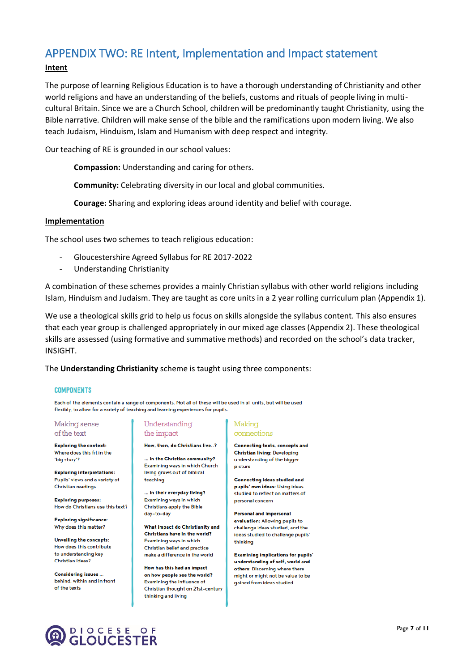# <span id="page-6-0"></span>APPENDIX TWO: RE Intent, Implementation and Impact statement

## **Intent**

The purpose of learning Religious Education is to have a thorough understanding of Christianity and other world religions and have an understanding of the beliefs, customs and rituals of people living in multicultural Britain. Since we are a Church School, children will be predominantly taught Christianity*,* using the Bible narrative. Children will make sense of the bible and the ramifications upon modern living. We also teach Judaism, Hinduism, Islam and Humanism with deep respect and integrity.

Our teaching of RE is grounded in our school values:

**Compassion:** Understanding and caring for others.

**Community:** Celebrating diversity in our local and global communities.

**Courage:** Sharing and exploring ideas around identity and belief with courage.

### **Implementation**

The school uses two schemes to teach religious education:

- Gloucestershire Agreed Syllabus for RE 2017-2022
- Understanding Christianity

A combination of these schemes provides a mainly Christian syllabus with other world religions including Islam, Hinduism and Judaism. They are taught as core units in a 2 year rolling curriculum plan (Appendix 1).

We use a theological skills grid to help us focus on skills alongside the syllabus content. This also ensures that each year group is challenged appropriately in our mixed age classes (Appendix 2). These theological skills are assessed (using formative and summative methods) and recorded on the school's data tracker, INSIGHT.

The **Understanding Christianity** scheme is taught using three components:

#### **COMPONENTS**

Each of the elements contain a range of components. Not all of these will be used in all units, but will be used flexibly, to allow for a variety of teaching and learning experiences for pupils.

#### Making sense of the text

**Exploring the context:** Where does this fit in the "big story"?

**Exploring interpretations:** Pupils' views and a variety of Christian readings

**Exploring purposes:** How do Christians use this text?

**Exploring significance:** Why does this matter?

**Unveiling the concepts:** How does this contribute to understanding key Christian ideas?

**Considering issues.** behind, within and in front of the texts

### Understanding the impact

How, then, do Christians live..?

... in the Christian community? Examining ways in which Church living grows out of biblical teaching

... in their everyday living? Examining ways in which **Christians apply the Bible** day-to-day

What impact do Christianity and Christians have in the world? Examining ways in which Christian belief and practice make a difference in the world

How has this had an impact on how people see the world? Examining the influence of Christian thought on 21st-century thinking and living

### Making connections

**Connecting texts, concepts and Christian living: Developing** understanding of the bigger picture

**Connecting ideas studied and** pupils' own ideas: Using ideas studied to reflect on matters of personal concerr

**Personal and impersonal** evaluation: Allowing pupils to challenge ideas studied, and the ideas studied to challenge pupils' thinking

**Examining implications for pupils'** understanding of self, world and others: Discerning where there might or might not be value to be gained from ideas studied

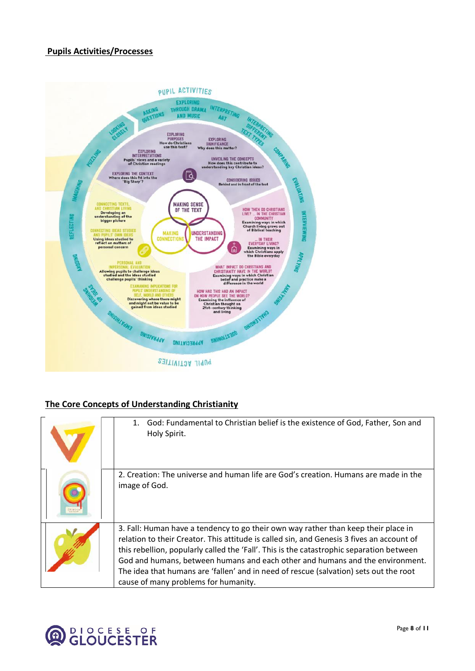## **Pupils Activities/Processes**



# **The Core Concepts of Understanding Christianity**

| God: Fundamental to Christian belief is the existence of God, Father, Son and<br>Holy Spirit.                                                                                                                                                                                                                                                                                                                                                                                                 |  |
|-----------------------------------------------------------------------------------------------------------------------------------------------------------------------------------------------------------------------------------------------------------------------------------------------------------------------------------------------------------------------------------------------------------------------------------------------------------------------------------------------|--|
| 2. Creation: The universe and human life are God's creation. Humans are made in the<br>image of God.                                                                                                                                                                                                                                                                                                                                                                                          |  |
| 3. Fall: Human have a tendency to go their own way rather than keep their place in<br>relation to their Creator. This attitude is called sin, and Genesis 3 fives an account of<br>this rebellion, popularly called the 'Fall'. This is the catastrophic separation between<br>God and humans, between humans and each other and humans and the environment.<br>The idea that humans are 'fallen' and in need of rescue (salvation) sets out the root<br>cause of many problems for humanity. |  |

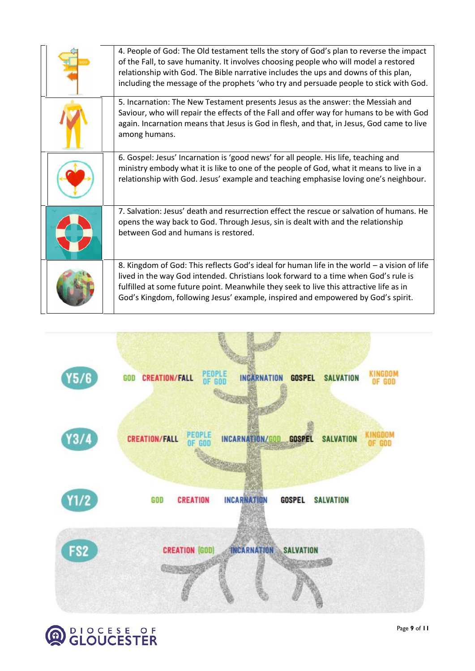| 4. People of God: The Old testament tells the story of God's plan to reverse the impact<br>of the Fall, to save humanity. It involves choosing people who will model a restored<br>relationship with God. The Bible narrative includes the ups and downs of this plan,<br>including the message of the prophets 'who try and persuade people to stick with God.  |
|------------------------------------------------------------------------------------------------------------------------------------------------------------------------------------------------------------------------------------------------------------------------------------------------------------------------------------------------------------------|
| 5. Incarnation: The New Testament presents Jesus as the answer: the Messiah and<br>Saviour, who will repair the effects of the Fall and offer way for humans to be with God<br>again. Incarnation means that Jesus is God in flesh, and that, in Jesus, God came to live<br>among humans.                                                                        |
| 6. Gospel: Jesus' Incarnation is 'good news' for all people. His life, teaching and<br>ministry embody what it is like to one of the people of God, what it means to live in a<br>relationship with God. Jesus' example and teaching emphasise loving one's neighbour.                                                                                           |
| 7. Salvation: Jesus' death and resurrection effect the rescue or salvation of humans. He<br>opens the way back to God. Through Jesus, sin is dealt with and the relationship<br>between God and humans is restored.                                                                                                                                              |
| 8. Kingdom of God: This reflects God's ideal for human life in the world - a vision of life<br>lived in the way God intended. Christians look forward to a time when God's rule is<br>fulfilled at some future point. Meanwhile they seek to live this attractive life as in<br>God's Kingdom, following Jesus' example, inspired and empowered by God's spirit. |



**OB** CLOUCESTER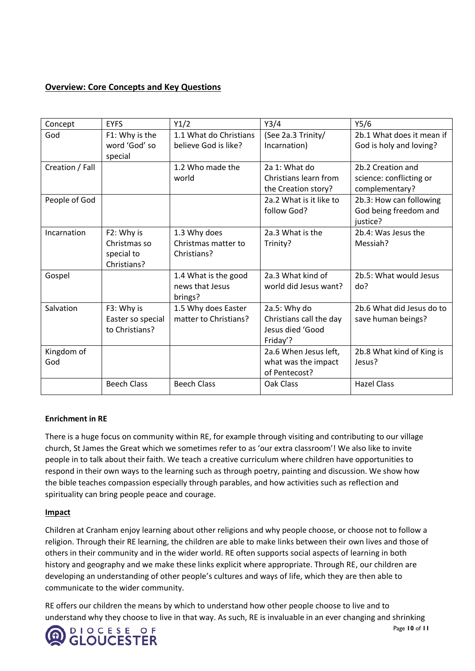# **Overview: Core Concepts and Key Questions**

| Concept         | <b>EYFS</b>               | Y1/2                       | Y3/4                                         | Y5/6                                      |
|-----------------|---------------------------|----------------------------|----------------------------------------------|-------------------------------------------|
| God             | F1: Why is the            | 1.1 What do Christians     | (See 2a.3 Trinity/                           | 2b.1 What does it mean if                 |
|                 | word 'God' so<br>special  | believe God is like?       | Incarnation)                                 | God is holy and loving?                   |
| Creation / Fall |                           | 1.2 Who made the           | 2a 1: What do                                | 2b.2 Creation and                         |
|                 |                           | world                      | Christians learn from<br>the Creation story? | science: conflicting or<br>complementary? |
| People of God   |                           |                            | 2a.2 What is it like to                      | 2b.3: How can following                   |
|                 |                           |                            | follow God?                                  | God being freedom and<br>justice?         |
| Incarnation     | F2: Why is                | 1.3 Why does               | 2a.3 What is the                             | 2b.4: Was Jesus the                       |
|                 | Christmas so              | Christmas matter to        | Trinity?                                     | Messiah?                                  |
|                 | special to<br>Christians? | Christians?                |                                              |                                           |
| Gospel          |                           | 1.4 What is the good       | 2a.3 What kind of                            | 2b.5: What would Jesus                    |
|                 |                           | news that Jesus<br>brings? | world did Jesus want?                        | do?                                       |
| Salvation       | F3: Why is                | 1.5 Why does Easter        | 2a.5: Why do                                 | 2b.6 What did Jesus do to                 |
|                 | Easter so special         | matter to Christians?      | Christians call the day                      | save human beings?                        |
|                 | to Christians?            |                            | Jesus died 'Good<br>Friday'?                 |                                           |
| Kingdom of      |                           |                            | 2a.6 When Jesus left,                        | 2b.8 What kind of King is                 |
| God             |                           |                            | what was the impact                          | Jesus?                                    |
|                 |                           |                            | of Pentecost?                                |                                           |
|                 | <b>Beech Class</b>        | <b>Beech Class</b>         | Oak Class                                    | <b>Hazel Class</b>                        |

## **Enrichment in RE**

There is a huge focus on community within RE, for example through visiting and contributing to our village church, St James the Great which we sometimes refer to as 'our extra classroom'! We also like to invite people in to talk about their faith. We teach a creative curriculum where children have opportunities to respond in their own ways to the learning such as through poetry, painting and discussion. We show how the bible teaches compassion especially through parables, and how activities such as reflection and spirituality can bring people peace and courage.

## **Impact**

Children at Cranham enjoy learning about other religions and why people choose, or choose not to follow a religion. Through their RE learning, the children are able to make links between their own lives and those of others in their community and in the wider world. RE often supports social aspects of learning in both history and geography and we make these links explicit where appropriate. Through RE, our children are developing an understanding of other people's cultures and ways of life, which they are then able to communicate to the wider community.

RE offers our children the means by which to understand how other people choose to live and to understand why they choose to live in that way. As such, RE is invaluable in an ever changing and shrinking